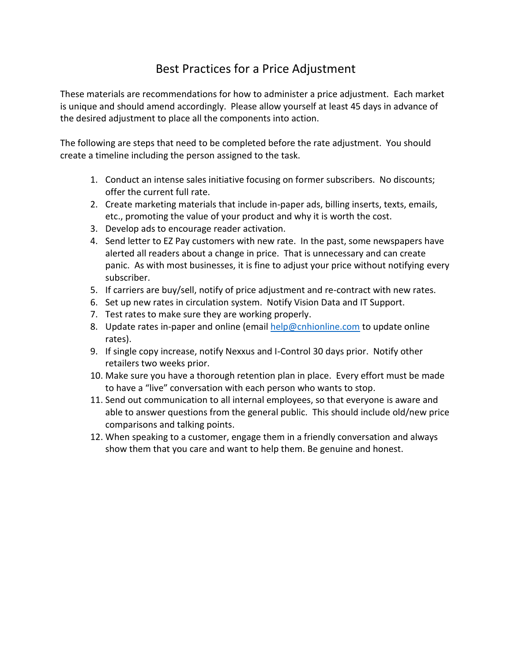## Best Practices for a Price Adjustment

These materials are recommendations for how to administer a price adjustment. Each market is unique and should amend accordingly. Please allow yourself at least 45 days in advance of the desired adjustment to place all the components into action.

The following are steps that need to be completed before the rate adjustment. You should create a timeline including the person assigned to the task.

- 1. Conduct an intense sales initiative focusing on former subscribers. No discounts; offer the current full rate.
- 2. Create marketing materials that include in-paper ads, billing inserts, texts, emails, etc., promoting the value of your product and why it is worth the cost.
- 3. Develop ads to encourage reader activation.
- 4. Send letter to EZ Pay customers with new rate. In the past, some newspapers have alerted all readers about a change in price. That is unnecessary and can create panic. As with most businesses, it is fine to adjust your price without notifying every subscriber.
- 5. If carriers are buy/sell, notify of price adjustment and re-contract with new rates.
- 6. Set up new rates in circulation system. Notify Vision Data and IT Support.
- 7. Test rates to make sure they are working properly.
- 8. Update rates in-paper and online (email [help@cnhionline.com](mailto:help@cnhionline.com) to update online rates).
- 9. If single copy increase, notify Nexxus and I-Control 30 days prior. Notify other retailers two weeks prior.
- 10. Make sure you have a thorough retention plan in place. Every effort must be made to have a "live" conversation with each person who wants to stop.
- 11. Send out communication to all internal employees, so that everyone is aware and able to answer questions from the general public. This should include old/new price comparisons and talking points.
- 12. When speaking to a customer, engage them in a friendly conversation and always show them that you care and want to help them. Be genuine and honest.